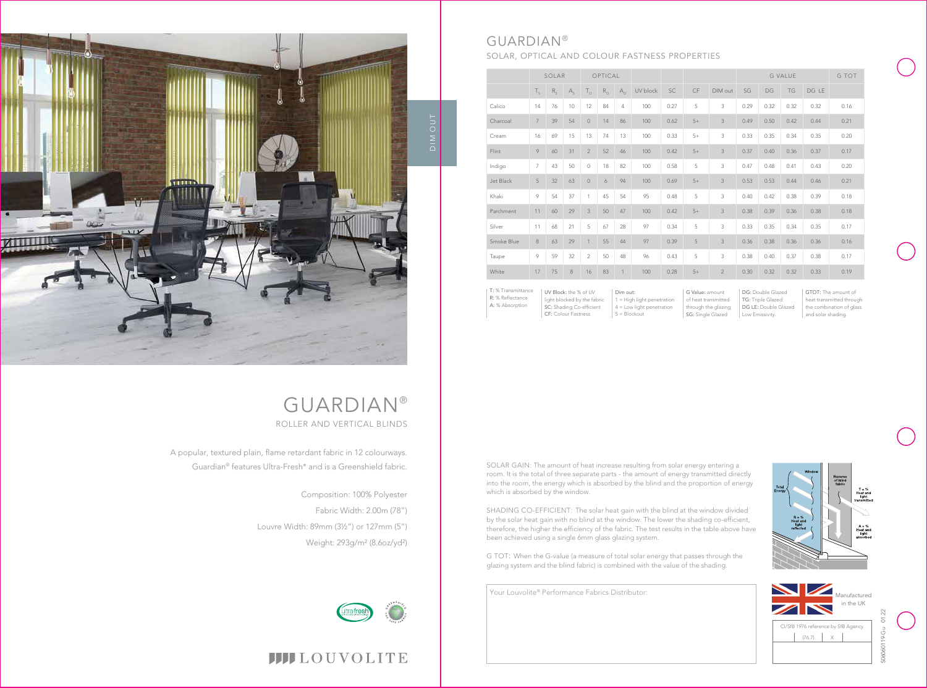

Your Louvolite® Performance Fabrics Distributor:

|            |                | SOLAR   |         |                | OPTICAL     |              |          |      |      |                | <b>G VALUE</b> |      |           | G TOT |      |
|------------|----------------|---------|---------|----------------|-------------|--------------|----------|------|------|----------------|----------------|------|-----------|-------|------|
|            | $T_{\rm s}$    | $R_{c}$ | $A_{S}$ | $T_{\circ}$    | $R_{\odot}$ | $A_{\Omega}$ | UV block | SC   | CF   | DIM out        | SG             | DG   | <b>TG</b> | DG LE |      |
| Calico     | 14             | 76      | 10      | 12             | 84          | 4            | 100      | 0.27 | 5    | 3              | 0.29           | 0.32 | 0.32      | 0.32  | 0.16 |
| Charcoal   | $\overline{7}$ | 39      | 54      | $\circ$        | 14          | 86           | 100      | 0.62 | $5+$ | 3              | 0.49           | 0.50 | 0.42      | 0.44  | 0.21 |
| Cream      | 16             | 69      | 15      | 13             | 74          | 13           | 100      | 0.33 | $5+$ | 3              | 0.33           | 0.35 | 0.34      | 0.35  | 0.20 |
| Flint      | 9              | 60      | 31      | $\overline{2}$ | 52          | 46           | 100      | 0.42 | $5+$ | $\mathcal{S}$  | 0.37           | 0.40 | 0.36      | 0.37  | 0.17 |
| Indigo     | $\overline{7}$ | 43      | 50      | $\circ$        | 18          | 82           | 100      | 0.58 | 5    | 3              | 0.47           | 0.48 | 0.41      | 0.43  | 0.20 |
| Jet Black  | 5              | 32      | 63      | $\circ$        | 6           | 94           | 100      | 0.69 | $5+$ | 3              | 0.53           | 0.53 | 0.44      | 0.46  | 0.21 |
| Khaki      | 9              | 54      | 37      | 1              | 45          | 54           | 95       | 0.48 | 5    | 3              | 0.40           | 0.42 | 0.38      | 0.39  | 0.18 |
| Parchment  | 11             | 60      | 29      | 3              | 50          | 47           | 100      | 0.42 | $5+$ | 3              | 0.38           | 0.39 | 0.36      | 0.38  | 0.18 |
| Silver     | 11             | 68      | 21      | 5              | 67          | 28           | 97       | 0.34 | 5    | 3              | 0.33           | 0.35 | 0.34      | 0.35  | 0.17 |
| Smoke Blue | 8              | 63      | 29      | $\mathbf{1}$   | 55          | 44           | 97       | 0.39 | 5    | 3              | 0.36           | 0.38 | 0.36      | 0.36  | 0.16 |
| Taupe      | 9              | 59      | 32      | $\overline{2}$ | 50          | 48           | 96       | 0.43 | 5    | 3              | 0.38           | 0.40 | 0.37      | 0.38  | 0.17 |
| White      | 17             | 75      | $\,8\,$ | 16             | 83          |              | 100      | 0.28 | $5+$ | $\overline{2}$ | 0.30           | 0.32 | 0.32      | 0.33  | 0.19 |

Dim out: 1 = High light penetration  $4 =$  Low light penetration 5 = Blockout

G Value: amount of heat transmitted through the glazing SG: Single Glazed

UV Block: the % of UV light blocked by the fabric SC: Shading Co-efficient CF: Colour Fastness T: % Transmittance R: % Reflectance A: % Absorption

DG: Double Glazed TG: Triple Glazed DG LE: Double Glazed Low Emissivity.

GTOT: The amount of heat transmitted through the combination of glass and solar shading.



# GUARDIAN®

# SOLAR, OPTICAL AND COLOUR FASTNESS PROPERTIES



A popular, textured plain, flame retardant fabric in 12 colourways. Guardian® features Ultra-Fresh\* and is a Greenshield fabric.

# GUARDIAN® ROLLER AND VERTICAL BLINDS

Composition: 100% Polyester Fabric Width: 2.00m (78") Louvre Width: 89mm (3½") or 127mm (5") Weight: 293g/m² (8.6oz/yd²)



SOLAR GAIN: The amount of heat increase resulting from solar energy entering a room. It is the total of three separate parts - the amount of energy transmitted directly into the room, the energy which is absorbed by the blind and the proportion of energy which is absorbed by the window.

SHADING CO-EFFICIENT: The solar heat gain with the blind at the window divided by the solar heat gain with no blind at the window. The lower the shading co-efficient, therefore, the higher the efficiency of the fabric. The test results in the table above have been achieved using a single 6mm glass glazing system.

G TOT: When the G-value (a measure of total solar energy that passes through the glazing system and the blind fabric) is combined with the value of the shading.



# **IIII**LOUVOLITE